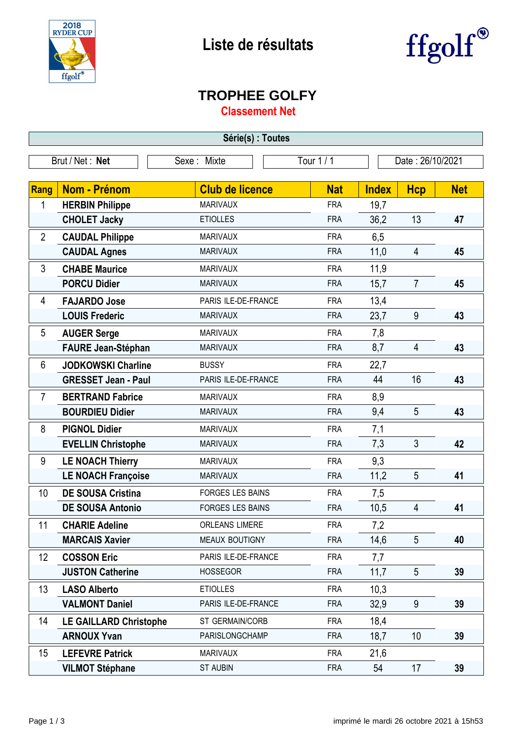



## **TROPHEE GOLFY**

**Classement Net**

| Série(s) : Toutes |                               |                         |            |                  |                |            |  |
|-------------------|-------------------------------|-------------------------|------------|------------------|----------------|------------|--|
| Brut / Net: Net   |                               | Sexe: Mixte             | Tour 1/1   | Date: 26/10/2021 |                |            |  |
|                   |                               |                         |            |                  |                |            |  |
| <b>Rang</b>       | <b>Nom - Prénom</b>           | <b>Club de licence</b>  | <b>Nat</b> | <b>Index</b>     | <b>Hcp</b>     | <b>Net</b> |  |
| 1                 | <b>HERBIN Philippe</b>        | <b>MARIVAUX</b>         | <b>FRA</b> | 19,7             |                |            |  |
|                   | <b>CHOLET Jacky</b>           | <b>ETIOLLES</b>         | <b>FRA</b> | 36,2             | 13             | 47         |  |
| $\overline{2}$    | <b>CAUDAL Philippe</b>        | <b>MARIVAUX</b>         | <b>FRA</b> | 6,5              |                |            |  |
|                   | <b>CAUDAL Agnes</b>           | <b>MARIVAUX</b>         | <b>FRA</b> | 11,0             | $\overline{4}$ | 45         |  |
| 3                 | <b>CHABE Maurice</b>          | <b>MARIVAUX</b>         | <b>FRA</b> | 11,9             |                |            |  |
|                   | <b>PORCU Didier</b>           | <b>MARIVAUX</b>         | <b>FRA</b> | 15,7             | $\overline{7}$ | 45         |  |
| 4                 | <b>FAJARDO Jose</b>           | PARIS ILE-DE-FRANCE     | <b>FRA</b> | 13,4             |                |            |  |
|                   | <b>LOUIS Frederic</b>         | <b>MARIVAUX</b>         | <b>FRA</b> | 23,7             | 9              | 43         |  |
| 5                 | <b>AUGER Serge</b>            | <b>MARIVAUX</b>         | <b>FRA</b> | 7,8              |                |            |  |
|                   | <b>FAURE Jean-Stéphan</b>     | <b>MARIVAUX</b>         | <b>FRA</b> | 8,7              | $\overline{4}$ | 43         |  |
| 6                 | <b>JODKOWSKI Charline</b>     | <b>BUSSY</b>            | <b>FRA</b> | 22,7             |                |            |  |
|                   | <b>GRESSET Jean - Paul</b>    | PARIS ILE-DE-FRANCE     | <b>FRA</b> | 44               | 16             | 43         |  |
| $\overline{7}$    | <b>BERTRAND Fabrice</b>       | <b>MARIVAUX</b>         | <b>FRA</b> | 8,9              |                |            |  |
|                   | <b>BOURDIEU Didier</b>        | <b>MARIVAUX</b>         | <b>FRA</b> | 9,4              | 5              | 43         |  |
| 8                 | <b>PIGNOL Didier</b>          | <b>MARIVAUX</b>         | <b>FRA</b> | 7,1              |                |            |  |
|                   | <b>EVELLIN Christophe</b>     | <b>MARIVAUX</b>         | <b>FRA</b> | 7,3              | 3              | 42         |  |
| 9                 | <b>LE NOACH Thierry</b>       | <b>MARIVAUX</b>         | <b>FRA</b> | 9,3              |                |            |  |
|                   | <b>LE NOACH Françoise</b>     | <b>MARIVAUX</b>         | <b>FRA</b> | 11,2             | 5              | 41         |  |
| 10                | <b>DE SOUSA Cristina</b>      | <b>FORGES LES BAINS</b> | <b>FRA</b> | 7,5              |                |            |  |
|                   | <b>DE SOUSA Antonio</b>       | <b>FORGES LES BAINS</b> | <b>FRA</b> | 10,5             | 4              | 41         |  |
| 11                | <b>CHARIE Adeline</b>         | <b>ORLEANS LIMERE</b>   | <b>FRA</b> | 7,2              |                |            |  |
|                   | <b>MARCAIS Xavier</b>         | <b>MEAUX BOUTIGNY</b>   | <b>FRA</b> | 14,6             | 5              | 40         |  |
| 12 <sup>°</sup>   | <b>COSSON Eric</b>            | PARIS ILE-DE-FRANCE     | <b>FRA</b> | 7,7              |                |            |  |
|                   | <b>JUSTON Catherine</b>       | <b>HOSSEGOR</b>         | <b>FRA</b> | 11,7             | 5              | 39         |  |
| 13                | <b>LASO Alberto</b>           | <b>ETIOLLES</b>         | <b>FRA</b> | 10,3             |                |            |  |
|                   | <b>VALMONT Daniel</b>         | PARIS ILE-DE-FRANCE     | <b>FRA</b> | 32,9             | 9              | 39         |  |
| 14                | <b>LE GAILLARD Christophe</b> | ST GERMAIN/CORB         | <b>FRA</b> | 18,4             |                |            |  |
|                   | <b>ARNOUX Yvan</b>            | PARISLONGCHAMP          | <b>FRA</b> | 18,7             | 10             | 39         |  |
| 15                | <b>LEFEVRE Patrick</b>        | <b>MARIVAUX</b>         | <b>FRA</b> | 21,6             |                |            |  |
|                   | <b>VILMOT Stéphane</b>        | <b>ST AUBIN</b>         | <b>FRA</b> | 54               | 17             | 39         |  |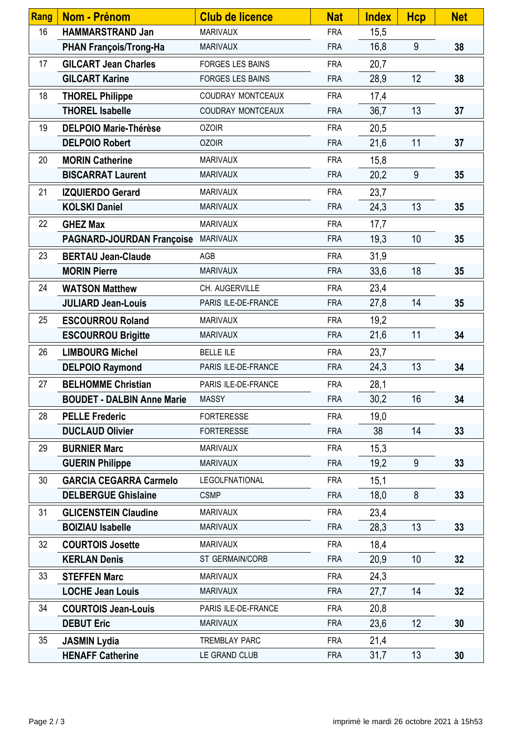| Rang | Nom - Prénom                      | <b>Club de licence</b>   | <b>Nat</b> | <b>Index</b> | <b>Hcp</b> | <b>Net</b> |
|------|-----------------------------------|--------------------------|------------|--------------|------------|------------|
| 16   | <b>HAMMARSTRAND Jan</b>           | <b>MARIVAUX</b>          | <b>FRA</b> | 15,5         |            |            |
|      | <b>PHAN François/Trong-Ha</b>     | <b>MARIVAUX</b>          | <b>FRA</b> | 16,8         | 9          | 38         |
| 17   | <b>GILCART Jean Charles</b>       | <b>FORGES LES BAINS</b>  | <b>FRA</b> | 20,7         |            |            |
|      | <b>GILCART Karine</b>             | <b>FORGES LES BAINS</b>  | <b>FRA</b> | 28,9         | 12         | 38         |
| 18   | <b>THOREL Philippe</b>            | <b>COUDRAY MONTCEAUX</b> | <b>FRA</b> | 17,4         |            |            |
|      | <b>THOREL Isabelle</b>            | COUDRAY MONTCEAUX        | <b>FRA</b> | 36,7         | 13         | 37         |
| 19   | <b>DELPOIO Marie-Thérèse</b>      | <b>OZOIR</b>             | <b>FRA</b> | 20,5         |            |            |
|      | <b>DELPOIO Robert</b>             | <b>OZOIR</b>             | <b>FRA</b> | 21,6         | 11         | 37         |
| 20   | <b>MORIN Catherine</b>            | <b>MARIVAUX</b>          | <b>FRA</b> | 15,8         |            |            |
|      | <b>BISCARRAT Laurent</b>          | <b>MARIVAUX</b>          | <b>FRA</b> | 20,2         | 9          | 35         |
| 21   | <b>IZQUIERDO Gerard</b>           | <b>MARIVAUX</b>          | <b>FRA</b> | 23,7         |            |            |
|      | <b>KOLSKI Daniel</b>              | <b>MARIVAUX</b>          | <b>FRA</b> | 24,3         | 13         | 35         |
| 22   | <b>GHEZ Max</b>                   | <b>MARIVAUX</b>          | <b>FRA</b> | 17,7         |            |            |
|      | <b>PAGNARD-JOURDAN Françoise</b>  | <b>MARIVAUX</b>          | <b>FRA</b> | 19,3         | 10         | 35         |
| 23   | <b>BERTAU Jean-Claude</b>         | AGB                      | <b>FRA</b> | 31,9         |            |            |
|      | <b>MORIN Pierre</b>               | <b>MARIVAUX</b>          | <b>FRA</b> | 33,6         | 18         | 35         |
| 24   | <b>WATSON Matthew</b>             | CH. AUGERVILLE           | <b>FRA</b> | 23,4         |            |            |
|      | <b>JULIARD Jean-Louis</b>         | PARIS ILE-DE-FRANCE      | <b>FRA</b> | 27,8         | 14         | 35         |
| 25   | <b>ESCOURROU Roland</b>           | <b>MARIVAUX</b>          | <b>FRA</b> | 19,2         |            |            |
|      | <b>ESCOURROU Brigitte</b>         | <b>MARIVAUX</b>          | <b>FRA</b> | 21,6         | 11         | 34         |
| 26   | <b>LIMBOURG Michel</b>            | <b>BELLE ILE</b>         | <b>FRA</b> | 23,7         |            |            |
|      | <b>DELPOIO Raymond</b>            | PARIS ILE-DE-FRANCE      | <b>FRA</b> | 24,3         | 13         | 34         |
| 27   | <b>BELHOMME Christian</b>         | PARIS ILE-DE-FRANCE      | <b>FRA</b> | 28,1         |            |            |
|      | <b>BOUDET - DALBIN Anne Marie</b> | MASSY                    | <b>FRA</b> | 30,2         | 16         | 34         |
| 28   | <b>PELLE Frederic</b>             | <b>FORTERESSE</b>        | <b>FRA</b> | 19,0         |            |            |
|      | <b>DUCLAUD Olivier</b>            | <b>FORTERESSE</b>        | <b>FRA</b> | 38           | 14         | 33         |
| 29   | <b>BURNIER Marc</b>               | <b>MARIVAUX</b>          | <b>FRA</b> | 15,3         |            |            |
|      | <b>GUERIN Philippe</b>            | <b>MARIVAUX</b>          | <b>FRA</b> | 19,2         | 9          | 33         |
| 30   | <b>GARCIA CEGARRA Carmelo</b>     | <b>LEGOLFNATIONAL</b>    | <b>FRA</b> | 15,1         |            |            |
|      | <b>DELBERGUE Ghislaine</b>        | <b>CSMP</b>              | <b>FRA</b> | 18,0         | 8          | 33         |
| 31   | <b>GLICENSTEIN Claudine</b>       | <b>MARIVAUX</b>          | <b>FRA</b> | 23,4         |            |            |
|      | <b>BOIZIAU Isabelle</b>           | <b>MARIVAUX</b>          | <b>FRA</b> | 28,3         | 13         | 33         |
| 32   | <b>COURTOIS Josette</b>           | <b>MARIVAUX</b>          | <b>FRA</b> | 18,4         |            |            |
|      | <b>KERLAN Denis</b>               | ST GERMAIN/CORB          | <b>FRA</b> | 20,9         | 10         | 32         |
| 33   | <b>STEFFEN Marc</b>               | <b>MARIVAUX</b>          | <b>FRA</b> | 24,3         |            |            |
|      | <b>LOCHE Jean Louis</b>           | <b>MARIVAUX</b>          | <b>FRA</b> | 27,7         | 14         | 32         |
| 34   | <b>COURTOIS Jean-Louis</b>        | PARIS ILE-DE-FRANCE      | <b>FRA</b> | 20,8         |            |            |
|      | <b>DEBUT Eric</b>                 | <b>MARIVAUX</b>          | <b>FRA</b> | 23,6         | 12         | 30         |
| 35   | <b>JASMIN Lydia</b>               | <b>TREMBLAY PARC</b>     | <b>FRA</b> | 21,4         |            |            |
|      | <b>HENAFF Catherine</b>           | LE GRAND CLUB            | <b>FRA</b> | 31,7         | 13         | 30         |